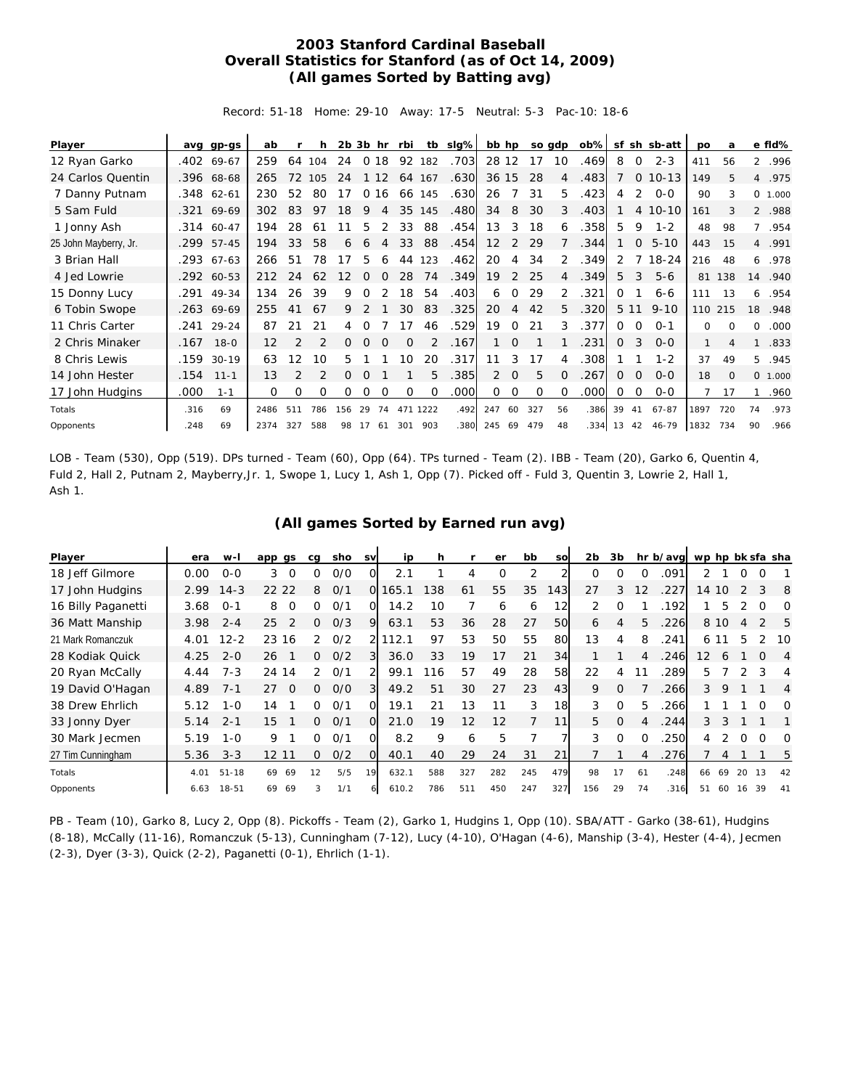## **2003 Stanford Cardinal Baseball Overall Statistics for Stanford (as of Oct 14, 2009) (All games Sorted by Batting avg)**

Record: 51-18 Home: 29-10 Away: 17-5 Neutral: 5-3 Pac-10: 18-6

| Player                |      | avg gp-gs    | ab   |                | h             |     |          | $2b$ $3b$ hr   | rbi      | tb       | slg%l | bb hp             |          |     | so gdp         | ob%l |       |                 | sf sh sb-att | po           | a        |              | e fld%  |
|-----------------------|------|--------------|------|----------------|---------------|-----|----------|----------------|----------|----------|-------|-------------------|----------|-----|----------------|------|-------|-----------------|--------------|--------------|----------|--------------|---------|
| 12 Ryan Garko         |      | .402 69-67   | 259  | 64             | 104           | 24  | $\circ$  | 18             | 92       | 182      | .703  | 28 12             |          | 17  | 10             | .469 | 8     | 0               | $2 - 3$      | 411          | 56       |              | 2 .996  |
| 24 Carlos Quentin     |      | .396 68-68   | 265  | 72             | 105           | 24  |          | 1 1 2          |          | 64 167   | .630  | 36 15             |          | 28  | 4              | .483 |       | $\mathbf{O}$    | $10 - 13$    | 149          | 5        |              | 4 .975  |
| 7 Danny Putnam        |      | .348 62-61   | 230  | 52             | 80            | 17  |          | 0 16           |          | 66 145   | .630  | 26                | 7        | 31  | 5.             | .423 | 4     | 2               | $O-O$        | 90           | 3        |              | 0 1.000 |
| 5 Sam Fuld            |      | .321 69-69   | 302  | 83             | 97            | 18  | 9        | $\overline{4}$ |          | 35 145   | .480  | 34                | 8        | 30  | 3              | .403 |       |                 | 4 10-10      | 161          | 3        |              | 2 .988  |
| 1 Jonny Ash           |      | .314 60-47   | 194  | 28             | 61            | 11  | 5        | 2              | 33       | 88       | .454  | 13                | 3        | 18  | 6              | .358 | 5     | 9               | $1 - 2$      | 48           | 98       | $7^{\circ}$  | .954    |
| 25 John Mayberry, Jr. |      | .299 57-45   | 194  | 33             | 58            | 6   | 6        | $\overline{4}$ | 33       | 88       | .454  | $12 \overline{ }$ | 2        | 29  |                | .344 |       | $\mathbf{O}$    | $5 - 10$     | 443          | 15       |              | 4 .991  |
| 3 Brian Hall          |      | $.293$ 67-63 | 266  | 51             | 78            | 17  | 5        | 6              | 44       | 123      | .462  | 20                | 4        | 34  | 2              | 349  | 2     | $7\overline{ }$ | $18 - 24$    | 216          | 48       | 6            | .978    |
| 4 Jed Lowrie          |      | .292 60-53   | 212  | 24             | 62            | 12  | 0        | $\Omega$       | 28       | 74       | .349  | 19                | 2        | 25  | $\overline{4}$ | .349 | 5     | 3               | $5 - 6$      | 81           | 138      | 14           | .940    |
| 15 Donny Lucy         |      | .291 49-34   | 134  | 26             | 39            | 9   | 0        | 2              | 18       | 54       | .403  | 6                 | $\Omega$ | 29  | 2              | .321 | 0     |                 | $6 - 6$      | 111          | 13       | 6            | .954    |
| 6 Tobin Swope         |      | $.263$ 69-69 | 255  | 41             | 67            | 9   | 2        |                | 30       | 83       | .325  | 20                | 4        | 42  | 5.             | 320  |       | 5 1 1           | $9 - 10$     |              | 110 215  | 18           | .948    |
| 11 Chris Carter       | .241 | 29-24        | 87   | 21             | 21            | 4   | O        |                | 17       | 46       | .529  | 19                | $\Omega$ | 21  | 3              | 377  | 0     | $\Omega$        | $O - 1$      | 0            | $\Omega$ | 0            | .000    |
| 2 Chris Minaker       | .167 | $18 - 0$     | 12   | 2              | $\mathcal{P}$ | 0   | $\Omega$ | $\Omega$       | $\Omega$ | 2        | .167  |                   | $\Omega$ |     |                | 231  | 0     | 3               | $O - O$      | $\mathbf{1}$ | 4        | $\mathbf{1}$ | .833    |
| 8 Chris Lewis         | .159 | $30-19$      | 63   | 12             | 10            | 5   |          |                | 10       | 20       | .317  | 11                | 3        | 17  | 4              | 308  |       |                 | $1 - 2$      | 37           | 49       | 5.           | .945    |
| 14 John Hester        | .154 | $11 - 1$     | 13   | $\mathfrak{D}$ |               | 0   | O        |                |          | 5        | .385  | $\overline{2}$    | $\Omega$ | 5   | $\Omega$       | 267  | 0     | $\Omega$        | $0 - 0$      | 18           | $\Omega$ |              | 0 1.000 |
| 17 John Hudgins       | .000 | $1 - 1$      | 0    | 0              | 0             | 0   | 0        | 0              | 0        | 0        | .000  | 0                 | $\Omega$ | O   | 0              | .000 | 0     | 0               | $0 - 0$      | 7            | 17       | $\mathbf{1}$ | .960    |
| Totals                | .316 | 69           | 2486 | 511            | 786           | 156 | 29       | 74             |          | 471 1222 | .492  | 247               | 60       | 327 | 56             | .386 | 39    | 41              | $67 - 87$    | 1897         | 720      | 74           | .973    |
| Opponents             | .248 | 69           | 2374 | 327            | 588           | 98  | 17       | 61             | 301      | 903      | .380  | 245 69            |          | 479 | 48             | 334  | 13 42 |                 | $46 - 79$    | 1832         | 734      | 90           | .966    |

LOB - Team (530), Opp (519). DPs turned - Team (60), Opp (64). TPs turned - Team (2). IBB - Team (20), Garko 6, Quentin 4, Fuld 2, Hall 2, Putnam 2, Mayberry,Jr. 1, Swope 1, Lucy 1, Ash 1, Opp (7). Picked off - Fuld 3, Quentin 3, Lowrie 2, Hall 1, Ash 1.

|  |  |  |  | (All games Sorted by Earned run avg) |  |  |  |
|--|--|--|--|--------------------------------------|--|--|--|
|--|--|--|--|--------------------------------------|--|--|--|

| Player             | era  | w-I       | app gs                | cg            | sho | sv             | ip    | h   |     | er  | bb             | <b>SO</b> | 2b       | 3b         |    | hr b/avg |                   |      |    |               | wp hp bk sfa sha |
|--------------------|------|-----------|-----------------------|---------------|-----|----------------|-------|-----|-----|-----|----------------|-----------|----------|------------|----|----------|-------------------|------|----|---------------|------------------|
| 18 Jeff Gilmore    | 0.00 | $O - O$   | 3<br>$\Omega$         | Ο             | O/O | ΩI             | 2.1   |     | 4   | O   | $\overline{2}$ |           | $\Omega$ | $\left($ ) | O  | .091     |                   |      | O  | O             |                  |
| 17 John Hudgins    | 2.99 | $14 - 3$  | 22 22                 | 8             | O/1 | O.             | 165.1 | 138 | 61  | 55  | 35             | 143       | 27       | 3          | 12 | .227     | 14 10             |      |    | 3             | - 8              |
| 16 Billy Paganetti | 3.68 | $0 - 1$   | 8<br>$\Omega$         | 0             | 0/1 | 0              | 14.2  | 10  |     | 6   | 6              | 12        | 2        | $\Omega$   |    | .192     |                   | 5    |    | $\Omega$      | $\Omega$         |
| 36 Matt Manship    | 3.98 | $2 - 4$   | $\mathcal{P}$<br>25   | 0             | 0/3 | 9              | 63.1  | 53  | 36  | 28  | 27             | 50        | 6        | 4          | 5  | .226     |                   | 8 10 | 4  | $\mathcal{P}$ | - 5              |
| 21 Mark Romanczuk  | 4.01 | $12 - 2$  | 23<br>16              | $\mathcal{P}$ | O/2 |                | 112.1 | 97  | 53  | 50  | 55             | 80        | 13       | 4          | 8  | .241     |                   | 6 11 | 5  |               | .10              |
| 28 Kodiak Quick    | 4.25 | $2 - 0$   | 26                    | O.            | 0/2 |                | 36.0  | 33  | 19  | 17  | 21             | 34        |          |            |    | .246     | $12 \overline{ }$ | 6    |    | $\Omega$      | 4                |
| 20 Ryan McCally    | 4.44 | $7 - 3$   | 24 14                 | 2             | 0/1 |                | 99.1  | 116 | 57  | 49  | 28             | 58        | 22       | 4          |    | .289     | 5.                |      |    | 3             | 4                |
| 19 David O'Hagan   | 4.89 | $7 - 1$   | 27<br>$\Omega$        | O.            | O/O | $\overline{3}$ | 49.2  | 51  | 30  | 27  | 23             | 43        | 9        | $\Omega$   |    | .266     | 3                 | 9    |    |               | 4                |
| 38 Drew Ehrlich    | 5.12 | $1 - 0$   | 14                    | O.            | O/1 | ΩI             | 19.1  | 21  | 13  |     | 3              | 18        | 3        | $\Omega$   | 5. | .266     |                   |      |    | O             | O                |
| 33 Jonny Dyer      | 5.14 | $2 - 1$   | 15                    | O.            | O/1 | $\Omega$       | 21.0  | 19  | 12  | 12  | 7              | 11        | 5        | $\Omega$   | 4  | .244     | 3                 | 3    |    |               |                  |
| 30 Mark Jecmen     | 5.19 | $1 - 0$   | 9                     | O.            | O/1 | ΩI             | 8.2   | 9   | 6   | 5   |                |           | 3        | 0          | O  | .250     | 4                 |      | 0  | $\Omega$      | O                |
| 27 Tim Cunningham  | 5.36 | $3 - 3$   | 12 <sup>°</sup><br>11 | 0             | 0/2 | $\Omega$       | 40.1  | 40  | 29  | 24  | 31             | 21        |          |            |    | .276     |                   | 4    |    |               | 5                |
| Totals             | 4.01 | $51 - 18$ | 69<br>69              | 12            | 5/5 | 19             | 632.1 | 588 | 327 | 282 | 245            | 479       | 98       | 17         | 61 | .248     | 66                | 69   | 20 | 13            | 42               |
| Opponents          | 6.63 | $18 - 51$ | 69<br>69              | 3             | 1/1 |                | 610.2 | 786 | 511 | 450 | 247            | 327       | 156      | 29         | 74 | .316     | 51                | 60   | 16 | 39            | 41               |

PB - Team (10), Garko 8, Lucy 2, Opp (8). Pickoffs - Team (2), Garko 1, Hudgins 1, Opp (10). SBA/ATT - Garko (38-61), Hudgins (8-18), McCally (11-16), Romanczuk (5-13), Cunningham (7-12), Lucy (4-10), O'Hagan (4-6), Manship (3-4), Hester (4-4), Jecmen (2-3), Dyer (3-3), Quick (2-2), Paganetti (0-1), Ehrlich (1-1).